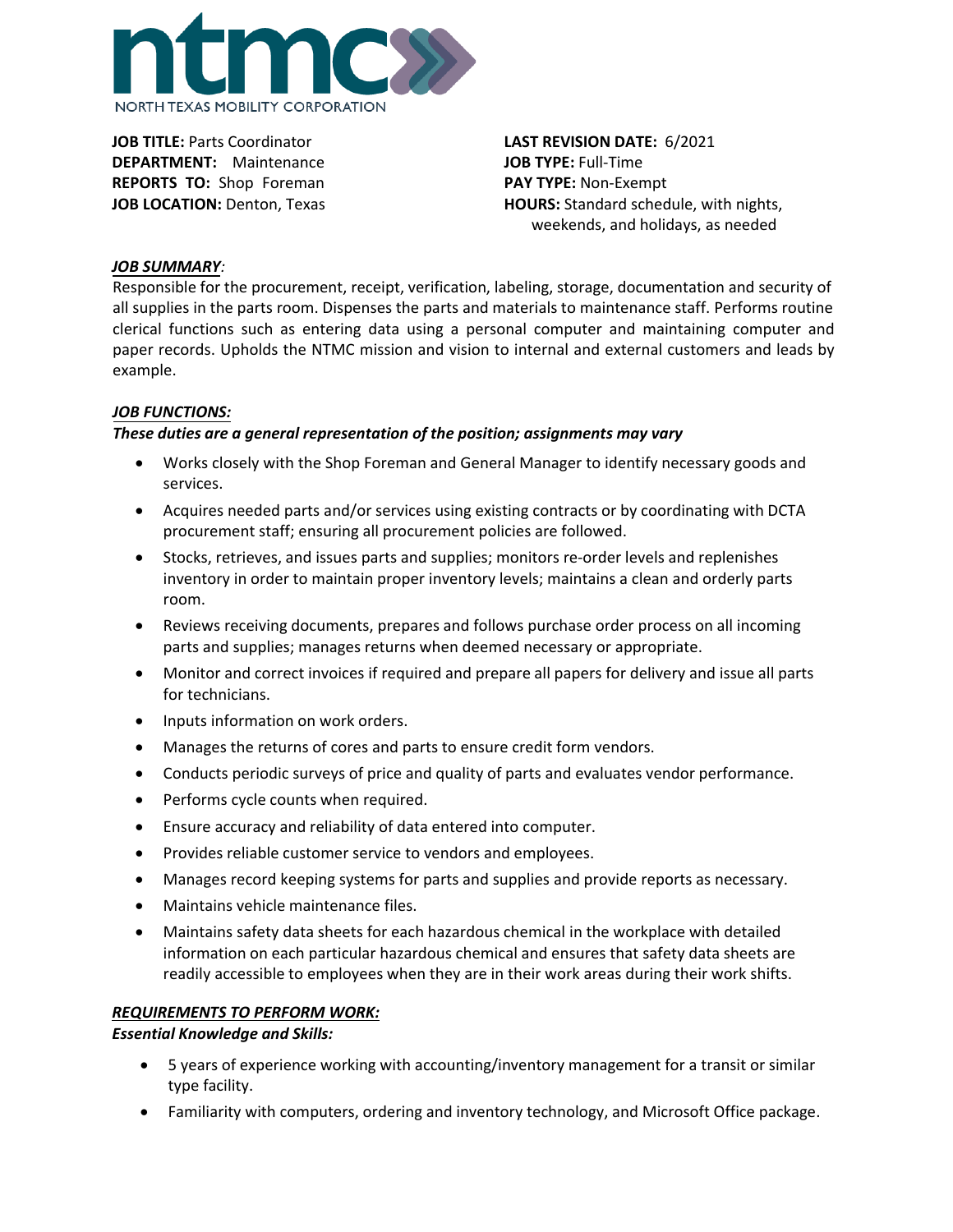

**JOB TITLE:** Parts Coordinator **DEPARTMENT:** Maintenance **REPORTS TO:** Shop Foreman **JOB LOCATION: Denton, Texas** 

**LAST REVISION DATE:** 6/2021 **JOB TYPE:** Full-Time **PAY TYPE:** Non-Exempt **HOURS:** Standard schedule, with nights, weekends, and holidays, as needed

## *JOB SUMMARY:*

Responsible for the procurement, receipt, verification, labeling, storage, documentation and security of all supplies in the parts room. Dispenses the parts and materials to maintenance staff. Performs routine clerical functions such as entering data using a personal computer and maintaining computer and paper records. Upholds the NTMC mission and vision to internal and external customers and leads by example.

# *JOB FUNCTIONS:*

# *These duties are a general representation of the position; assignments may vary*

- Works closely with the Shop Foreman and General Manager to identify necessary goods and services.
- Acquires needed parts and/or services using existing contracts or by coordinating with DCTA procurement staff; ensuring all procurement policies are followed.
- Stocks, retrieves, and issues parts and supplies; monitors re-order levels and replenishes inventory in order to maintain proper inventory levels; maintains a clean and orderly parts room.
- Reviews receiving documents, prepares and follows purchase order process on all incoming parts and supplies; manages returns when deemed necessary or appropriate.
- Monitor and correct invoices if required and prepare all papers for delivery and issue all parts for technicians.
- Inputs information on work orders.
- Manages the returns of cores and parts to ensure credit form vendors.
- Conducts periodic surveys of price and quality of parts and evaluates vendor performance.
- Performs cycle counts when required.
- Ensure accuracy and reliability of data entered into computer.
- Provides reliable customer service to vendors and employees.
- Manages record keeping systems for parts and supplies and provide reports as necessary.
- Maintains vehicle maintenance files.
- Maintains safety data sheets for each hazardous chemical in the workplace with detailed information on each particular hazardous chemical and ensures that safety data sheets are readily accessible to employees when they are in their work areas during their work shifts.

## *REQUIREMENTS TO PERFORM WORK:*

## *Essential Knowledge and Skills:*

- 5 years of experience working with accounting/inventory management for a transit or similar type facility.
- Familiarity with computers, ordering and inventory technology, and Microsoft Office package.